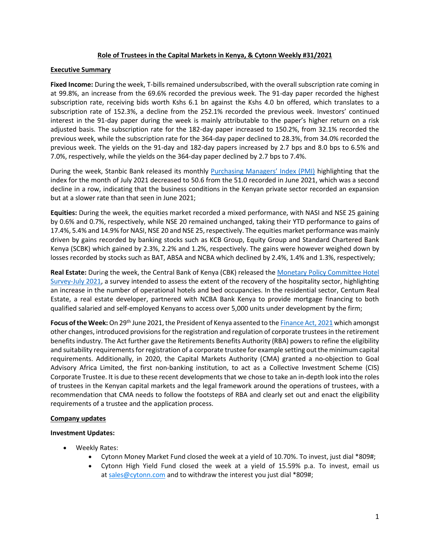## **Role of Trustees in the Capital Markets in Kenya, & Cytonn Weekly #31/2021**

## **Executive Summary**

**Fixed Income:** During the week, T-bills remained undersubscribed, with the overall subscription rate coming in at 99.8%, an increase from the 69.6% recorded the previous week. The 91-day paper recorded the highest subscription rate, receiving bids worth Kshs 6.1 bn against the Kshs 4.0 bn offered, which translates to a subscription rate of 152.3%, a decline from the 252.1% recorded the previous week. Investors' continued interest in the 91-day paper during the week is mainly attributable to the paper's higher return on a risk adjusted basis. The subscription rate for the 182-day paper increased to 150.2%, from 32.1% recorded the previous week, while the subscription rate for the 364-day paper declined to 28.3%, from 34.0% recorded the previous week. The yields on the 91-day and 182-day papers increased by 2.7 bps and 8.0 bps to 6.5% and 7.0%, respectively, while the yields on the 364-day paper declined by 2.7 bps to 7.4%.

During the week, Stanbic Bank released its monthly [Purchasing Managers' Index \(PMI\)](https://www.markiteconomics.com/Public/Home/PressRelease/26b1540c76fb41198bca80bbccb1d40b) highlighting that the index for the month of July 2021 decreased to 50.6 from the 51.0 recorded in June 2021, which was a second decline in a row, indicating that the business conditions in the Kenyan private sector recorded an expansion but at a slower rate than that seen in June 2021;

**Equities:** During the week, the equities market recorded a mixed performance, with NASI and NSE 25 gaining by 0.6% and 0.7%, respectively, while NSE 20 remained unchanged, taking their YTD performance to gains of 17.4%, 5.4% and 14.9% for NASI, NSE 20 and NSE 25, respectively. The equities market performance was mainly driven by gains recorded by banking stocks such as KCB Group, Equity Group and Standard Chartered Bank Kenya (SCBK) which gained by 2.3%, 2.2% and 1.2%, respectively. The gains were however weighed down by losses recorded by stocks such as BAT, ABSA and NCBA which declined by 2.4%, 1.4% and 1.3%, respectively;

**Real Estate:** During the week, the Central Bank of Kenya (CBK) released th[e Monetary Policy Committee Hotel](https://www.centralbank.go.ke/uploads/market_perception_surveys/1808452313_MPC%20Hotels%20Survey,%20July%202021.pdf)  [Survey-July 2021,](https://www.centralbank.go.ke/uploads/market_perception_surveys/1808452313_MPC%20Hotels%20Survey,%20July%202021.pdf) a survey intended to assess the extent of the recovery of the hospitality sector, highlighting an increase in the number of operational hotels and bed occupancies. In the residential sector, Centum Real Estate, a real estate developer, partnered with NCBA Bank Kenya to provide mortgage financing to both qualified salaried and self-employed Kenyans to access over 5,000 units under development by the firm;

**Focus of the Week:** On 29th June 2021, the President of Kenya assented to th[e Finance Act, 2021](http://kenyalaw.org/kl/fileadmin/pdfdownloads/Acts/2021/TheFinanceAct_No.8of2021.pdf) which amongst other changes, introduced provisions for the registration and regulation of corporate trustees in the retirement benefits industry. The Act further gave the Retirements Benefits Authority (RBA) powers to refine the eligibility and suitability requirements for registration of a corporate trustee for example setting out the minimum capital requirements. Additionally, in 2020, the Capital Markets Authority (CMA) granted a no-objection to Goal Advisory Africa Limited, the first non-banking institution, to act as a Collective Investment Scheme (CIS) Corporate Trustee. It is due to these recent developments that we chose to take an in-depth look into the roles of trustees in the Kenyan capital markets and the legal framework around the operations of trustees, with a recommendation that CMA needs to follow the footsteps of RBA and clearly set out and enact the eligibility requirements of a trustee and the application process.

## **Company updates**

## **Investment Updates:**

- Weekly Rates:
	- Cytonn Money Market Fund closed the week at a yield of 10.70%. To invest, just dial \*809#;
	- Cytonn High Yield Fund closed the week at a yield of 15.59% p.a. To invest, email us at [sales@cytonn.com](mailto:sales@cytonn.com) and to withdraw the interest you just dial \*809#;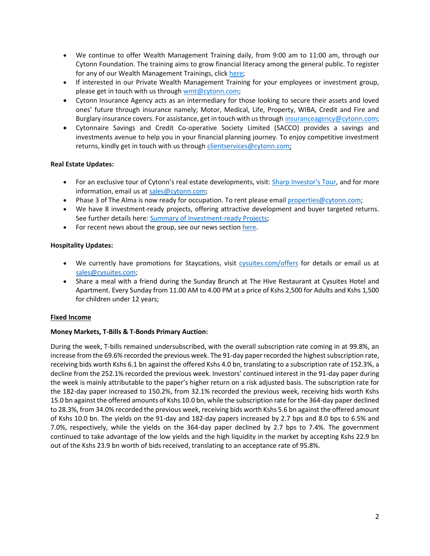- We continue to offer Wealth Management Training daily, from 9:00 am to 11:00 am, through our Cytonn Foundation. The training aims to grow financial literacy among the general public. To register for any of our Wealth Management Trainings, click [here;](http://cytonn.com/onlinetraining)
- If interested in our Private Wealth Management Training for your employees or investment group, please get in touch with us through [wmt@cytonn.com;](mailto:wmt@cytonn.com)
- Cytonn Insurance Agency acts as an intermediary for those looking to secure their assets and loved ones' future through insurance namely; Motor, Medical, Life, Property, WIBA, Credit and Fire and Burglary insurance covers. For assistance, get in touch with us through [insuranceagency@cytonn.com;](mailto:insuranceagency@cytonn.com)
- Cytonnaire Savings and Credit Co-operative Society Limited (SACCO) provides a savings and investments avenue to help you in your financial planning journey. To enjoy competitive investment returns, kindly get in touch with us through [clientservices@cytonn.com;](mailto:clientservices@cytonn.com)

# **Real Estate Updates:**

- For an exclusive tour of Cytonn's real estate developments, visit: [Sharp Investor's Tour,](https://crm.cytonn.com/events/sharp-investors-tour) and for more information, email us at [sales@cytonn.com;](mailto:sales@cytonn.com)
- Phase 3 of The Alma is now ready for occupation. To rent please email [properties@cytonn.com;](mailto:properties@cytonn.com)
- We have 8 investment-ready projects, offering attractive development and buyer targeted returns. See further details here: [Summary of Investment-ready Projects;](https://cytonn.com/downloads/summary-of-investment-ready-projects-v19-06-2021)
- For recent news about the group, see our news section [here.](https://crm.cytonn.com/events/private_wealth_management_training_q3_2018)

# **Hospitality Updates:**

- We currently have promotions for Staycations, visit [cysuites.com/offers](https://cysuites.com/offers) for details or email us at [sales@cysuites.com;](file:///C:/Users/skariuki/Downloads/sales@cysuites.com)
- Share a meal with a friend during the Sunday Brunch at The Hive Restaurant at Cysuites Hotel and Apartment. Every Sunday from 11.00 AM to 4.00 PM at a price of Kshs 2,500 for Adults and Kshs 1,500 for children under 12 years;

# **Fixed Income**

# **Money Markets, T-Bills & T-Bonds Primary Auction:**

During the week, T-bills remained undersubscribed, with the overall subscription rate coming in at 99.8%, an increase from the 69.6% recorded the previous week. The 91-day paper recorded the highest subscription rate, receiving bids worth Kshs 6.1 bn against the offered Kshs 4.0 bn, translating to a subscription rate of 152.3%, a decline from the 252.1% recorded the previous week. Investors' continued interest in the 91-day paper during the week is mainly attributable to the paper's higher return on a risk adjusted basis. The subscription rate for the 182-day paper increased to 150.2%, from 32.1% recorded the previous week, receiving bids worth Kshs 15.0 bn against the offered amounts of Kshs 10.0 bn, while the subscription rate for the 364-day paper declined to 28.3%, from 34.0% recorded the previous week, receiving bids worth Kshs 5.6 bn against the offered amount of Kshs 10.0 bn. The yields on the 91-day and 182-day papers increased by 2.7 bps and 8.0 bps to 6.5% and 7.0%, respectively, while the yields on the 364-day paper declined by 2.7 bps to 7.4%. The government continued to take advantage of the low yields and the high liquidity in the market by accepting Kshs 22.9 bn out of the Kshs 23.9 bn worth of bids received, translating to an acceptance rate of 95.8%.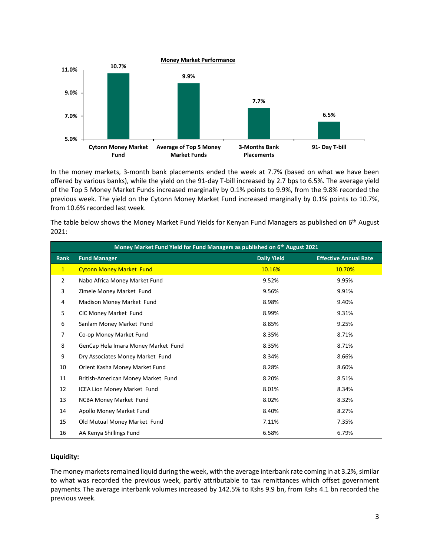

In the money markets, 3-month bank placements ended the week at 7.7% (based on what we have been offered by various banks), while the yield on the 91-day T-bill increased by 2.7 bps to 6.5%. The average yield of the Top 5 Money Market Funds increased marginally by 0.1% points to 9.9%, from the 9.8% recorded the previous week. The yield on the Cytonn Money Market Fund increased marginally by 0.1% points to 10.7%, from 10.6% recorded last week.

The table below shows the Money Market Fund Yields for Kenyan Fund Managers as published on 6<sup>th</sup> August 2021:

|                | Money Market Fund Yield for Fund Managers as published on 6 <sup>th</sup> August 2021 |                    |                              |  |  |
|----------------|---------------------------------------------------------------------------------------|--------------------|------------------------------|--|--|
| <b>Rank</b>    | <b>Fund Manager</b>                                                                   | <b>Daily Yield</b> | <b>Effective Annual Rate</b> |  |  |
| $\mathbf{1}$   | <b>Cytonn Money Market Fund</b>                                                       | 10.16%             | 10.70%                       |  |  |
| $\overline{2}$ | Nabo Africa Money Market Fund                                                         | 9.52%              | 9.95%                        |  |  |
| 3              | Zimele Money Market Fund                                                              | 9.56%              | 9.91%                        |  |  |
| 4              | Madison Money Market Fund                                                             | 8.98%              | 9.40%                        |  |  |
| 5              | CIC Money Market Fund                                                                 | 8.99%              | 9.31%                        |  |  |
| 6              | Sanlam Money Market Fund                                                              | 8.85%              | 9.25%                        |  |  |
| 7              | Co-op Money Market Fund                                                               | 8.35%              | 8.71%                        |  |  |
| 8              | GenCap Hela Imara Money Market Fund                                                   | 8.35%              | 8.71%                        |  |  |
| 9              | Dry Associates Money Market Fund                                                      | 8.34%              | 8.66%                        |  |  |
| 10             | Orient Kasha Money Market Fund                                                        | 8.28%              | 8.60%                        |  |  |
| 11             | British-American Money Market Fund                                                    | 8.20%              | 8.51%                        |  |  |
| 12             | ICEA Lion Money Market Fund                                                           | 8.01%              | 8.34%                        |  |  |
| 13             | <b>NCBA Money Market Fund</b>                                                         | 8.02%              | 8.32%                        |  |  |
| 14             | Apollo Money Market Fund                                                              | 8.40%              | 8.27%                        |  |  |
| 15             | Old Mutual Money Market Fund                                                          | 7.11%              | 7.35%                        |  |  |
| 16             | AA Kenya Shillings Fund                                                               | 6.58%              | 6.79%                        |  |  |

# **Liquidity:**

The money markets remained liquid during the week, with the average interbank rate coming in at 3.2%, similar to what was recorded the previous week, partly attributable to tax remittances which offset government payments. The average interbank volumes increased by 142.5% to Kshs 9.9 bn, from Kshs 4.1 bn recorded the previous week.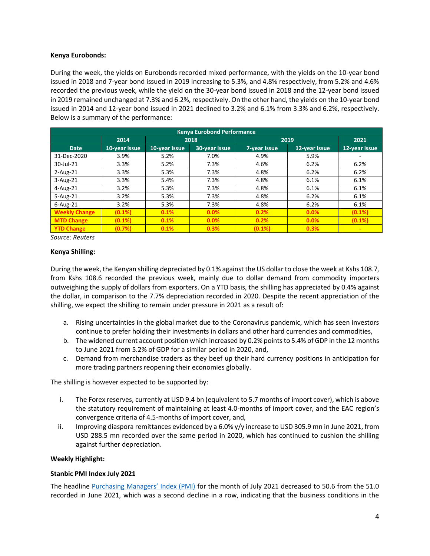## **Kenya Eurobonds:**

During the week, the yields on Eurobonds recorded mixed performance, with the yields on the 10-year bond issued in 2018 and 7-year bond issued in 2019 increasing to 5.3%, and 4.8% respectively, from 5.2% and 4.6% recorded the previous week, while the yield on the 30-year bond issued in 2018 and the 12-year bond issued in 2019 remained unchanged at 7.3% and 6.2%, respectively. On the other hand, the yields on the 10-year bond issued in 2014 and 12-year bond issued in 2021 declined to 3.2% and 6.1% from 3.3% and 6.2%, respectively. Below is a summary of the performance:

| <b>Kenya Eurobond Performance</b> |               |               |               |              |               |               |
|-----------------------------------|---------------|---------------|---------------|--------------|---------------|---------------|
|                                   | 2014          |               | 2018          | 2019         | 2021          |               |
| <b>Date</b>                       | 10-year issue | 10-year issue | 30-year issue | 7-year issue | 12-year issue | 12-year issue |
| 31-Dec-2020                       | 3.9%          | 5.2%          | 7.0%          | 4.9%         | 5.9%          |               |
| 30-Jul-21                         | 3.3%          | 5.2%          | 7.3%          | 4.6%         | 6.2%          | 6.2%          |
| $2$ -Aug-21                       | 3.3%          | 5.3%          | 7.3%          | 4.8%         | 6.2%          | 6.2%          |
| $3-Aug-21$                        | 3.3%          | 5.4%          | 7.3%          | 4.8%         | 6.1%          | 6.1%          |
| $4 - Aug-21$                      | 3.2%          | 5.3%          | 7.3%          | 4.8%         | 6.1%          | 6.1%          |
| $5 - Aug-21$                      | 3.2%          | 5.3%          | 7.3%          | 4.8%         | 6.2%          | 6.1%          |
| $6 - Aug-21$                      | 3.2%          | 5.3%          | 7.3%          | 4.8%         | 6.2%          | 6.1%          |
| <b>Weekly Change</b>              | $(0.1\%)$     | 0.1%          | 0.0%          | 0.2%         | 0.0%          | (0.1%)        |
| <b>MTD Change</b>                 | (0.1%)        | 0.1%          | 0.0%          | 0.2%         | 0.0%          | (0.1%)        |
| <b>YTD Change</b>                 | (0.7%)        | 0.1%          | 0.3%          | (0.1%)       | 0.3%          | $\sim$        |

*Source: Reuters*

## **Kenya Shilling:**

During the week, the Kenyan shilling depreciated by 0.1% against the US dollar to close the week at Kshs 108.7, from Kshs 108.6 recorded the previous week, mainly due to dollar demand from commodity importers outweighing the supply of dollars from exporters. On a YTD basis, the shilling has appreciated by 0.4% against the dollar, in comparison to the 7.7% depreciation recorded in 2020. Despite the recent appreciation of the shilling, we expect the shilling to remain under pressure in 2021 as a result of:

- a. Rising uncertainties in the global market due to the Coronavirus pandemic, which has seen investors continue to prefer holding their investments in dollars and other hard currencies and commodities,
- b. The widened current account position which increased by 0.2% points to 5.4% of GDP in the 12 months to June 2021 from 5.2% of GDP for a similar period in 2020, and,
- c. Demand from merchandise traders as they beef up their hard currency positions in anticipation for more trading partners reopening their economies globally.

The shilling is however expected to be supported by:

- i. The Forex reserves, currently at USD 9.4 bn (equivalent to 5.7 months of import cover), which is above the statutory requirement of maintaining at least 4.0-months of import cover, and the EAC region's convergence criteria of 4.5-months of import cover, and,
- ii. Improving diaspora remittances evidenced by a 6.0% y/y increase to USD 305.9 mn in June 2021, from USD 288.5 mn recorded over the same period in 2020, which has continued to cushion the shilling against further depreciation.

## **Weekly Highlight:**

## **Stanbic PMI Index July 2021**

The headline [Purchasing Managers' Index \(PMI\)](https://www.markiteconomics.com/Public/Home/PressRelease/26b1540c76fb41198bca80bbccb1d40b) for the month of July 2021 decreased to 50.6 from the 51.0 recorded in June 2021, which was a second decline in a row, indicating that the business conditions in the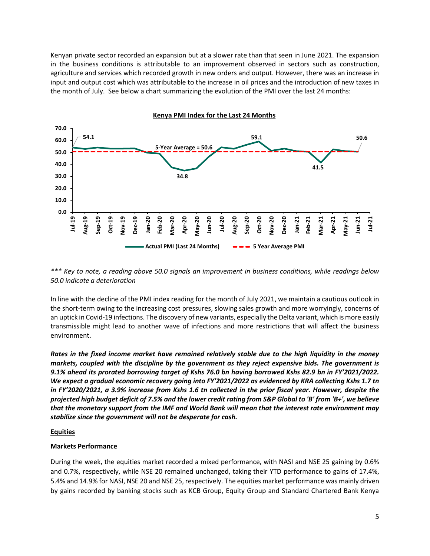Kenyan private sector recorded an expansion but at a slower rate than that seen in June 2021. The expansion in the business conditions is attributable to an improvement observed in sectors such as construction, agriculture and services which recorded growth in new orders and output. However, there was an increase in input and output cost which was attributable to the increase in oil prices and the introduction of new taxes in the month of July. See below a chart summarizing the evolution of the PMI over the last 24 months:



*\*\*\* Key to note, a reading above 50.0 signals an improvement in business conditions, while readings below 50.0 indicate a deterioration*

In line with the decline of the PMI index reading for the month of July 2021, we maintain a cautious outlook in the short-term owing to the increasing cost pressures, slowing sales growth and more worryingly, concerns of an uptick in Covid-19 infections. The discovery of new variants, especially the Delta variant, which is more easily transmissible might lead to another wave of infections and more restrictions that will affect the business environment.

*Rates in the fixed income market have remained relatively stable due to the high liquidity in the money markets, coupled with the discipline by the government as they reject expensive bids. The government is 9.1% ahead its prorated borrowing target of Kshs 76.0 bn having borrowed Kshs 82.9 bn in FY'2021/2022. We expect a gradual economic recovery going into FY'2021/2022 as evidenced by KRA collecting Kshs 1.7 tn in FY'2020/2021, a 3.9% increase from Kshs 1.6 tn collected in the prior fiscal year. However, despite the projected high budget deficit of 7.5% and the lower credit rating from S&P Global to 'B' from 'B+', we believe that the monetary support from the IMF and World Bank will mean that the interest rate environment may stabilize since the government will not be desperate for cash.*

# **Equities**

## **Markets Performance**

During the week, the equities market recorded a mixed performance, with NASI and NSE 25 gaining by 0.6% and 0.7%, respectively, while NSE 20 remained unchanged, taking their YTD performance to gains of 17.4%, 5.4% and 14.9% for NASI, NSE 20 and NSE 25, respectively. The equities market performance was mainly driven by gains recorded by banking stocks such as KCB Group, Equity Group and Standard Chartered Bank Kenya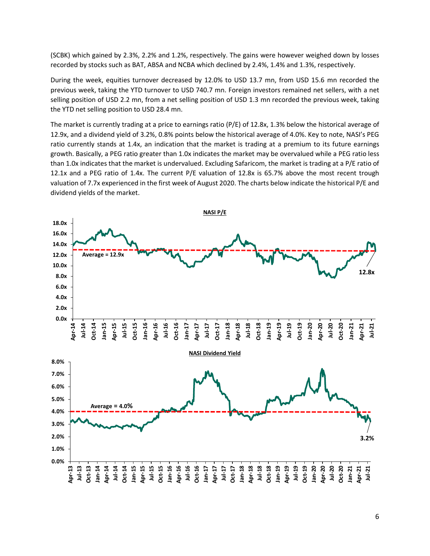(SCBK) which gained by 2.3%, 2.2% and 1.2%, respectively. The gains were however weighed down by losses recorded by stocks such as BAT, ABSA and NCBA which declined by 2.4%, 1.4% and 1.3%, respectively.

During the week, equities turnover decreased by 12.0% to USD 13.7 mn, from USD 15.6 mn recorded the previous week, taking the YTD turnover to USD 740.7 mn. Foreign investors remained net sellers, with a net selling position of USD 2.2 mn, from a net selling position of USD 1.3 mn recorded the previous week, taking the YTD net selling position to USD 28.4 mn.

The market is currently trading at a price to earnings ratio (P/E) of 12.8x, 1.3% below the historical average of 12.9x, and a dividend yield of 3.2%, 0.8% points below the historical average of 4.0%. Key to note, NASI's PEG ratio currently stands at 1.4x, an indication that the market is trading at a premium to its future earnings growth. Basically, a PEG ratio greater than 1.0x indicates the market may be overvalued while a PEG ratio less than 1.0x indicates that the market is undervalued. Excluding Safaricom, the market is trading at a P/E ratio of 12.1x and a PEG ratio of 1.4x. The current P/E valuation of 12.8x is 65.7% above the most recent trough valuation of 7.7x experienced in the first week of August 2020. The charts below indicate the historical P/E and dividend yields of the market.

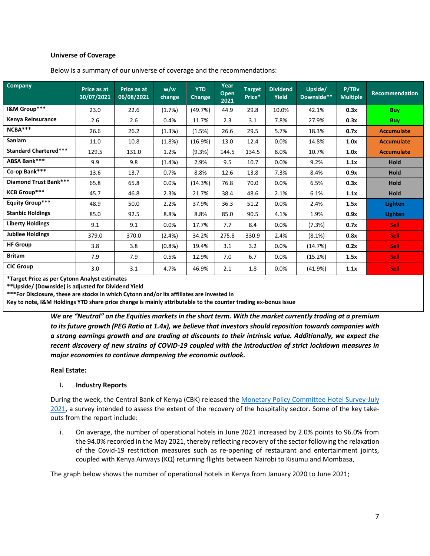#### **Universe of Coverage**

| <b>Company</b>               | Price as at<br>30/07/2021 | Price as at<br>06/08/2021 | w/w<br>change | <b>YTD</b><br>Change | Year<br>Open<br>2021 | <b>Target</b><br>Price* | <b>Dividend</b><br><b>Yield</b> | Upside/<br>Downside** | P/TBv<br><b>Multiple</b> | Recommendation    |
|------------------------------|---------------------------|---------------------------|---------------|----------------------|----------------------|-------------------------|---------------------------------|-----------------------|--------------------------|-------------------|
| I&M Group***                 | 23.0                      | 22.6                      | (1.7%)        | (49.7%)              | 44.9                 | 29.8                    | 10.0%                           | 42.1%                 | 0.3x                     | <b>Buy</b>        |
| Kenya Reinsurance            | 2.6                       | 2.6                       | 0.4%          | 11.7%                | 2.3                  | 3.1                     | 7.8%                            | 27.9%                 | 0.3x                     | <b>Buy</b>        |
| $NCBA***$                    | 26.6                      | 26.2                      | (1.3%)        | (1.5%)               | 26.6                 | 29.5                    | 5.7%                            | 18.3%                 | 0.7x                     | <b>Accumulate</b> |
| Sanlam                       | 11.0                      | 10.8                      | (1.8%)        | (16.9%)              | 13.0                 | 12.4                    | 0.0%                            | 14.8%                 | 1.0x                     | <b>Accumulate</b> |
| <b>Standard Chartered***</b> | 129.5                     | 131.0                     | 1.2%          | (9.3%)               | 144.5                | 134.5                   | 8.0%                            | 10.7%                 | 1.0x                     | <b>Accumulate</b> |
| ABSA Bank***                 | 9.9                       | 9.8                       | (1.4% )       | 2.9%                 | 9.5                  | 10.7                    | 0.0%                            | 9.2%                  | 1.1x                     | <b>Hold</b>       |
| Co-op Bank***                | 13.6                      | 13.7                      | 0.7%          | 8.8%                 | 12.6                 | 13.8                    | 7.3%                            | 8.4%                  | 0.9x                     | <b>Hold</b>       |
| Diamond Trust Bank***        | 65.8                      | 65.8                      | 0.0%          | (14.3%)              | 76.8                 | 70.0                    | 0.0%                            | 6.5%                  | 0.3x                     | <b>Hold</b>       |
| <b>KCB Group***</b>          | 45.7                      | 46.8                      | 2.3%          | 21.7%                | 38.4                 | 48.6                    | 2.1%                            | 6.1%                  | 1.1x                     | Hold              |
| <b>Equity Group***</b>       | 48.9                      | 50.0                      | 2.2%          | 37.9%                | 36.3                 | 51.2                    | 0.0%                            | 2.4%                  | 1.5x                     | <b>Lighten</b>    |
| <b>Stanbic Holdings</b>      | 85.0                      | 92.5                      | 8.8%          | 8.8%                 | 85.0                 | 90.5                    | 4.1%                            | 1.9%                  | 0.9x                     | <b>Lighten</b>    |
| <b>Liberty Holdings</b>      | 9.1                       | 9.1                       | 0.0%          | 17.7%                | 7.7                  | 8.4                     | 0.0%                            | (7.3%)                | 0.7x                     | Sell:             |
| <b>Jubilee Holdings</b>      | 379.0                     | 370.0                     | $(2.4\%)$     | 34.2%                | 275.8                | 330.9                   | 2.4%                            | $(8.1\%)$             | 0.8x                     | <b>Sell</b>       |
| <b>HF Group</b>              | 3.8                       | 3.8                       | (0.8%         | 19.4%                | 3.1                  | 3.2                     | 0.0%                            | (14.7%)               | 0.2x                     | <b>Sell</b>       |
| <b>Britam</b>                | 7.9                       | 7.9                       | 0.5%          | 12.9%                | 7.0                  | 6.7                     | 0.0%                            | (15.2%)               | 1.5x                     | Sell:             |
| <b>CIC Group</b>             | 3.0                       | 3.1                       | 4.7%          | 46.9%                | 2.1                  | 1.8                     | 0.0%                            | (41.9%)               | 1.1x                     | <b>Sell</b>       |

Below is a summary of our universe of coverage and the recommendations:

**\*Target Price as per Cytonn Analyst estimates**

**\*\*Upside/ (Downside) is adjusted for Dividend Yield**

**\*\*\*For Disclosure, these are stocks in which Cytonn and/or its affiliates are invested in**

**Key to note, I&M Holdings YTD share price change is mainly attributable to the counter trading ex-bonus issue**

*We are "Neutral" on the Equities markets in the short term. With the market currently trading at a premium to its future growth (PEG Ratio at 1.4x), we believe that investors should reposition towards companies with a strong earnings growth and are trading at discounts to their intrinsic value. Additionally, we expect the recent discovery of new strains of COVID-19 coupled with the introduction of strict lockdown measures in major economies to continue dampening the economic outlook.*

## **Real Estate:**

## **I. Industry Reports**

During the week, the Central Bank of Kenya (CBK) released the [Monetary Policy Committee Hotel Survey-July](https://www.centralbank.go.ke/uploads/market_perception_surveys/1808452313_MPC%20Hotels%20Survey,%20July%202021.pdf)  [2021,](https://www.centralbank.go.ke/uploads/market_perception_surveys/1808452313_MPC%20Hotels%20Survey,%20July%202021.pdf) a survey intended to assess the extent of the recovery of the hospitality sector. Some of the key takeouts from the report include:

i. On average, the number of operational hotels in June 2021 increased by 2.0% points to 96.0% from the 94.0% recorded in the May 2021, thereby reflecting recovery of the sector following the relaxation of the Covid-19 restriction measures such as re-opening of restaurant and entertainment joints, coupled with Kenya Airways (KQ) returning flights between Nairobi to Kisumu and Mombasa,

The graph below shows the number of operational hotels in Kenya from January 2020 to June 2021;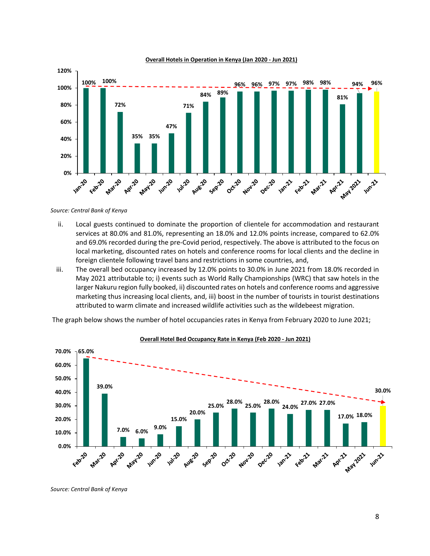

#### **Overall Hotels in Operation in Kenya (Jan 2020 - Jun 2021)**

*Source: Central Bank of Kenya*

- ii. Local guests continued to dominate the proportion of clientele for accommodation and restaurant services at 80.0% and 81.0%, representing an 18.0% and 12.0% points increase, compared to 62.0% and 69.0% recorded during the pre-Covid period, respectively. The above is attributed to the focus on local marketing, discounted rates on hotels and conference rooms for local clients and the decline in foreign clientele following travel bans and restrictions in some countries, and,
- iii. The overall bed occupancy increased by 12.0% points to 30.0% in June 2021 from 18.0% recorded in May 2021 attributable to; i) events such as World Rally Championships (WRC) that saw hotels in the larger Nakuru region fully booked, ii) discounted rates on hotels and conference rooms and aggressive marketing thus increasing local clients, and, iii) boost in the number of tourists in tourist destinations attributed to warm climate and increased wildlife activities such as the wildebeest migration.

The graph below shows the number of hotel occupancies rates in Kenya from February 2020 to June 2021;



**Overall Hotel Bed Occupancy Rate in Kenya (Feb 2020 - Jun 2021)**

*Source: Central Bank of Kenya*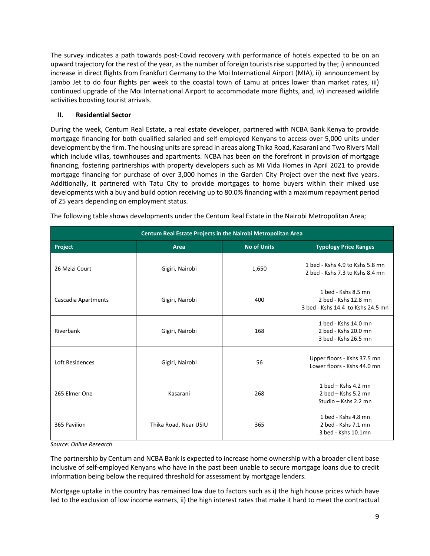The survey indicates a path towards post-Covid recovery with performance of hotels expected to be on an upward trajectory for the rest of the year, as the number of foreign tourists rise supported by the; i) announced increase in direct flights from Frankfurt Germany to the Moi International Airport (MIA), ii) announcement by Jambo Jet to do four flights per week to the coastal town of Lamu at prices lower than market rates, iii) continued upgrade of the Moi International Airport to accommodate more flights, and, iv) increased wildlife activities boosting tourist arrivals.

# **II. Residential Sector**

During the week, Centum Real Estate, a real estate developer, partnered with NCBA Bank Kenya to provide mortgage financing for both qualified salaried and self-employed Kenyans to access over 5,000 units under development by the firm. The housing units are spread in areas along Thika Road, Kasarani and Two Rivers Mall which include villas, townhouses and apartments. NCBA has been on the forefront in provision of mortgage financing, fostering partnerships with property developers such as Mi Vida Homes in April 2021 to provide mortgage financing for purchase of over 3,000 homes in the Garden City Project over the next five years. Additionally, it partnered with Tatu City to provide mortgages to home buyers within their mixed use developments with a buy and build option receiving up to 80.0% financing with a maximum repayment period of 25 years depending on employment status.

| Centum Real Estate Projects in the Nairobi Metropolitan Area |                       |                    |                                                                                  |  |  |  |
|--------------------------------------------------------------|-----------------------|--------------------|----------------------------------------------------------------------------------|--|--|--|
| Project                                                      | Area                  | <b>No of Units</b> | <b>Typology Price Ranges</b>                                                     |  |  |  |
| 26 Mzizi Court                                               | Gigiri, Nairobi       | 1,650              | 1 bed - Kshs 4.9 to Kshs 5.8 mn<br>2 bed - Kshs 7.3 to Kshs 8.4 mn               |  |  |  |
| Cascadia Apartments                                          | Gigiri, Nairobi       | 400                | 1 bed - Kshs 8.5 mn<br>2 bed - Kshs 12.8 mn<br>3 bed - Kshs 14.4 to Kshs 24.5 mn |  |  |  |
| Riverbank                                                    | Gigiri, Nairobi       | 168                | 1 bed - Kshs 14.0 mn<br>2 bed - Kshs 20.0 mn<br>3 bed - Kshs 26.5 mn             |  |  |  |
| Loft Residences                                              | Gigiri, Nairobi       | 56                 | Upper floors - Kshs 37.5 mn<br>Lower floors - Kshs 44.0 mn                       |  |  |  |
| 265 Elmer One                                                | Kasarani              | 268                | $1$ bed - Kshs 4.2 mn<br>$2$ bed - Kshs 5.2 mn<br>Studio - Kshs 2.2 mn           |  |  |  |
| 365 Pavilion                                                 | Thika Road, Near USIU | 365                | 1 bed - Kshs 4.8 mn<br>2 bed - Kshs 7.1 mn<br>3 bed - Kshs 10.1mn                |  |  |  |

The following table shows developments under the Centum Real Estate in the Nairobi Metropolitan Area;

*Source: Online Research*

The partnership by Centum and NCBA Bank is expected to increase home ownership with a broader client base inclusive of self-employed Kenyans who have in the past been unable to secure mortgage loans due to credit information being below the required threshold for assessment by mortgage lenders.

Mortgage uptake in the country has remained low due to factors such as i) the high house prices which have led to the exclusion of low income earners, ii) the high interest rates that make it hard to meet the contractual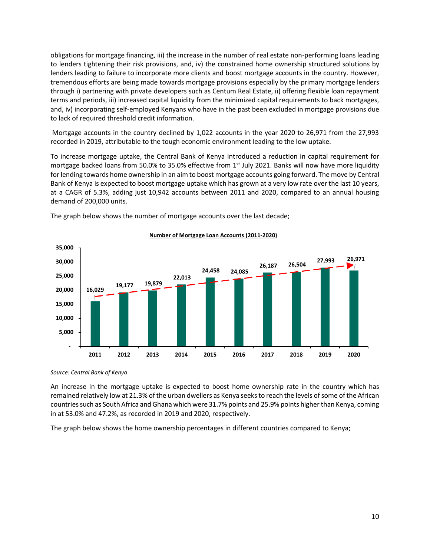obligations for mortgage financing, iii) the increase in the number of real estate non-performing loans leading to lenders tightening their risk provisions, and, iv) the constrained home ownership structured solutions by lenders leading to failure to incorporate more clients and boost mortgage accounts in the country. However, tremendous efforts are being made towards mortgage provisions especially by the primary mortgage lenders through i) partnering with private developers such as Centum Real Estate, ii) offering flexible loan repayment terms and periods, iii) increased capital liquidity from the minimized capital requirements to back mortgages, and, iv) incorporating self-employed Kenyans who have in the past been excluded in mortgage provisions due to lack of required threshold credit information.

Mortgage accounts in the country declined by 1,022 accounts in the year 2020 to 26,971 from the 27,993 recorded in 2019, attributable to the tough economic environment leading to the low uptake.

To increase mortgage uptake, the Central Bank of Kenya introduced a reduction in capital requirement for mortgage backed loans from 50.0% to 35.0% effective from 1<sup>st</sup> July 2021. Banks will now have more liquidity for lending towards home ownership in an aim to boost mortgage accounts going forward. The move by Central Bank of Kenya is expected to boost mortgage uptake which has grown at a very low rate over the last 10 years, at a CAGR of 5.3%, adding just 10,942 accounts between 2011 and 2020, compared to an annual housing demand of 200,000 units.



The graph below shows the number of mortgage accounts over the last decade;

*Source: Central Bank of Kenya*

An increase in the mortgage uptake is expected to boost home ownership rate in the country which has remained relatively low at 21.3% of the urban dwellers as Kenya seeks to reach the levels of some of the African countries such as South Africa and Ghana which were 31.7% points and 25.9% points higher than Kenya, coming in at 53.0% and 47.2%, as recorded in 2019 and 2020, respectively.

The graph below shows the home ownership percentages in different countries compared to Kenya;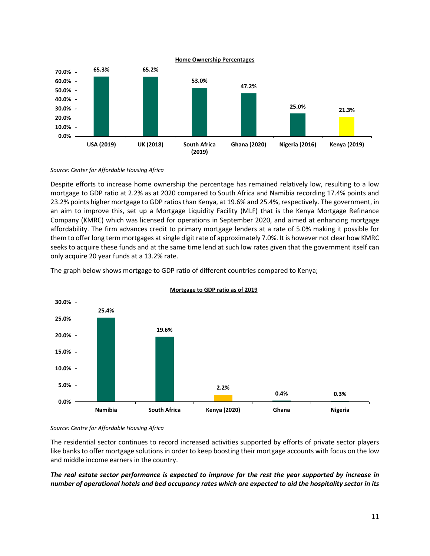

*Source: Center for Affordable Housing Africa*

Despite efforts to increase home ownership the percentage has remained relatively low, resulting to a low mortgage to GDP ratio at 2.2% as at 2020 compared to South Africa and Namibia recording 17.4% points and 23.2% points higher mortgage to GDP ratios than Kenya, at 19.6% and 25.4%, respectively. The government, in an aim to improve this, set up a Mortgage Liquidity Facility (MLF) that is the Kenya Mortgage Refinance Company (KMRC) which was licensed for operations in September 2020, and aimed at enhancing mortgage affordability. The firm advances credit to primary mortgage lenders at a rate of 5.0% making it possible for them to offer long term mortgages at single digit rate of approximately 7.0%. It is however not clear how KMRC seeks to acquire these funds and at the same time lend at such low rates given that the government itself can only acquire 20 year funds at a 13.2% rate.

The graph below shows mortgage to GDP ratio of different countries compared to Kenya;



#### **Mortgage to GDP ratio as of 2019**

*Source: Centre for Affordable Housing Africa*

The residential sector continues to record increased activities supported by efforts of private sector players like banks to offer mortgage solutions in order to keep boosting their mortgage accounts with focus on the low and middle income earners in the country.

*The real estate sector performance is expected to improve for the rest the year supported by increase in number of operational hotels and bed occupancy rates which are expected to aid the hospitality sector in its*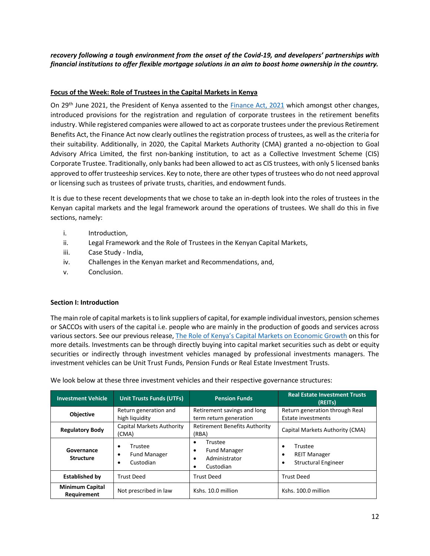*recovery following a tough environment from the onset of the Covid-19, and developers' partnerships with financial institutions to offer flexible mortgage solutions in an aim to boost home ownership in the country.*

# **Focus of the Week: Role of Trustees in the Capital Markets in Kenya**

On 29th June 2021, the President of Kenya assented to the [Finance Act, 2021](http://kenyalaw.org/kl/fileadmin/pdfdownloads/Acts/2021/TheFinanceAct_No.8of2021.pdf) which amongst other changes, introduced provisions for the registration and regulation of corporate trustees in the retirement benefits industry. While registered companies were allowed to act as corporate trustees under the previous Retirement Benefits Act, the Finance Act now clearly outlines the registration process of trustees, as well as the criteria for their suitability. Additionally, in 2020, the Capital Markets Authority (CMA) granted a no-objection to Goal Advisory Africa Limited, the first non-banking institution, to act as a Collective Investment Scheme (CIS) Corporate Trustee. Traditionally, only banks had been allowed to act as CIS trustees, with only 5 licensed banks approved to offer trusteeship services. Key to note, there are other types of trustees who do not need approval or licensing such as trustees of private trusts, charities, and endowment funds.

It is due to these recent developments that we chose to take an in-depth look into the roles of trustees in the Kenyan capital markets and the legal framework around the operations of trustees. We shall do this in five sections, namely:

- i. Introduction,
- ii. Legal Framework and the Role of Trustees in the Kenyan Capital Markets,
- iii. Case Study India,
- iv. Challenges in the Kenyan market and Recommendations, and,
- v. Conclusion.

## **Section I: Introduction**

The main role of capital marketsis to link suppliers of capital, for example individual investors, pension schemes or SACCOs with users of the capital i.e. people who are mainly in the production of goods and services across various sectors. See our previous release, [The Role of Kenya's Capital Markets on Economic Growth](https://cytonn.com/topicals/the-role-of-kenya) on this for more details. Investments can be through directly buying into capital market securities such as debt or equity securities or indirectly through investment vehicles managed by professional investments managers. The investment vehicles can be Unit Trust Funds, Pension Funds or Real Estate Investment Trusts.

| <b>Investment Vehicle</b>             | <b>Unit Trusts Funds (UTFs)</b>                  | <b>Pension Funds</b>                                                   | <b>Real Estate Investment Trusts</b><br>(REITs)                                     |
|---------------------------------------|--------------------------------------------------|------------------------------------------------------------------------|-------------------------------------------------------------------------------------|
| <b>Objective</b>                      | Return generation and<br>high liquidity          | Retirement savings and long<br>term return generation                  | Return generation through Real<br>Estate investments                                |
| <b>Regulatory Body</b>                | Capital Markets Authority<br>(CMA)               | <b>Retirement Benefits Authority</b><br>(RBA)                          | Capital Markets Authority (CMA)                                                     |
| Governance<br><b>Structure</b>        | Trustee<br><b>Fund Manager</b><br>٠<br>Custodian | Trustee<br><b>Fund Manager</b><br>٠<br>Administrator<br>٠<br>Custodian | Trustee<br>٠<br><b>REIT Manager</b><br>$\bullet$<br><b>Structural Engineer</b><br>٠ |
| <b>Established by</b>                 | <b>Trust Deed</b>                                | <b>Trust Deed</b>                                                      | <b>Trust Deed</b>                                                                   |
| <b>Minimum Capital</b><br>Requirement | Not prescribed in law                            | Kshs. 10.0 million                                                     | Kshs. 100.0 million                                                                 |

We look below at these three investment vehicles and their respective governance structures: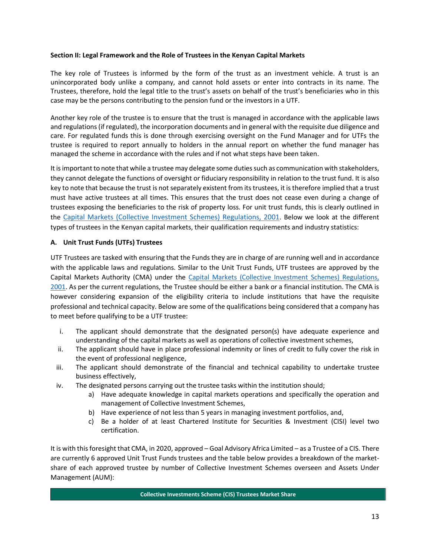## **Section II: Legal Framework and the Role of Trustees in the Kenyan Capital Markets**

The key role of Trustees is informed by the form of the trust as an investment vehicle. A trust is an unincorporated body unlike a company, and cannot hold assets or enter into contracts in its name. The Trustees, therefore, hold the legal title to the trust's assets on behalf of the trust's beneficiaries who in this case may be the persons contributing to the pension fund or the investors in a UTF.

Another key role of the trustee is to ensure that the trust is managed in accordance with the applicable laws and regulations (if regulated), the incorporation documents and in general with the requisite due diligence and care. For regulated funds this is done through exercising oversight on the Fund Manager and for UTFs the trustee is required to report annually to holders in the annual report on whether the fund manager has managed the scheme in accordance with the rules and if not what steps have been taken.

It is important to note that while a trustee may delegate some duties such as communication with stakeholders, they cannot delegate the functions of oversight or fiduciary responsibility in relation to the trust fund. It is also key to note that because the trust is not separately existent from its trustees, it is therefore implied that a trust must have active trustees at all times. This ensures that the trust does not cease even during a change of trustees exposing the beneficiaries to the risk of property loss. For unit trust funds, this is clearly outlined in the [Capital Markets \(Collective Investment Schemes\) Regulations, 2001](https://www.cma.or.ke/index.php?option=com_phocadownload&view=category&download=28:cmacollective-investment-schemesregulations2001&id=57:regulations&Itemid=194). Below we look at the different types of trustees in the Kenyan capital markets, their qualification requirements and industry statistics:

# **A. Unit Trust Funds (UTFs) Trustees**

UTF Trustees are tasked with ensuring that the Funds they are in charge of are running well and in accordance with the applicable laws and regulations. Similar to the Unit Trust Funds, UTF trustees are approved by the Capital Markets Authority (CMA) under the [Capital Markets \(Collective Investment Schemes\) Regulations,](https://www.cma.or.ke/index.php?option=com_phocadownload&view=category&download=28:cmacollective-investment-schemesregulations2001&id=57:regulations&Itemid=194)  [2001.](https://www.cma.or.ke/index.php?option=com_phocadownload&view=category&download=28:cmacollective-investment-schemesregulations2001&id=57:regulations&Itemid=194) As per the current regulations, the Trustee should be either a bank or a financial institution. The CMA is however considering expansion of the eligibility criteria to include institutions that have the requisite professional and technical capacity. Below are some of the qualifications being considered that a company has to meet before qualifying to be a UTF trustee:

- i. The applicant should demonstrate that the designated person(s) have adequate experience and understanding of the capital markets as well as operations of collective investment schemes,
- ii. The applicant should have in place professional indemnity or lines of credit to fully cover the risk in the event of professional negligence,
- iii. The applicant should demonstrate of the financial and technical capability to undertake trustee business effectively,
- iv. The designated persons carrying out the trustee tasks within the institution should;
	- a) Have adequate knowledge in capital markets operations and specifically the operation and management of Collective Investment Schemes,
	- b) Have experience of not less than 5 years in managing investment portfolios, and,
	- c) Be a holder of at least Chartered Institute for Securities & Investment (CISI) level two certification.

It is with this foresight that CMA, in 2020, approved – Goal Advisory Africa Limited – as a Trustee of a CIS. There are currently 6 approved Unit Trust Funds trustees and the table below provides a breakdown of the marketshare of each approved trustee by number of Collective Investment Schemes overseen and Assets Under Management (AUM):

#### **Collective Investments Scheme (CIS) Trustees Market Share**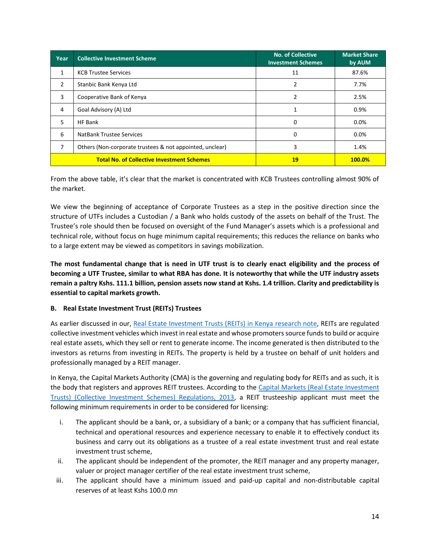| Year          | <b>Collective Investment Scheme</b>                      | <b>No. of Collective</b><br><b>Investment Schemes</b> | <b>Market Share</b><br>by AUM |
|---------------|----------------------------------------------------------|-------------------------------------------------------|-------------------------------|
| 1             | <b>KCB Trustee Services</b>                              | 11                                                    | 87.6%                         |
| $\mathcal{P}$ | Stanbic Bank Kenya Ltd                                   | $\overline{2}$                                        | 7.7%                          |
| 3             | Cooperative Bank of Kenya                                | $\overline{2}$                                        | 2.5%                          |
| 4             | Goal Advisory (A) Ltd                                    | 1                                                     | 0.9%                          |
| 5             | HF Bank                                                  | 0                                                     | 0.0%                          |
| 6             | <b>NatBank Trustee Services</b>                          | 0                                                     | 0.0%                          |
| 7             | Others (Non-corporate trustees & not appointed, unclear) | 3                                                     | 1.4%                          |
|               | <b>Total No. of Collective Investment Schemes</b>        | 19                                                    | 100.0%                        |

From the above table, it's clear that the market is concentrated with KCB Trustees controlling almost 90% of the market.

We view the beginning of acceptance of Corporate Trustees as a step in the positive direction since the structure of UTFs includes a Custodian / a Bank who holds custody of the assets on behalf of the Trust. The Trustee's role should then be focused on oversight of the Fund Manager's assets which is a professional and technical role, without focus on huge minimum capital requirements; this reduces the reliance on banks who to a large extent may be viewed as competitors in savings mobilization.

**The most fundamental change that is need in UTF trust is to clearly enact eligibility and the process of becoming a UTF Trustee, similar to what RBA has done. It is noteworthy that while the UTF industry assets remain a paltry Kshs. 111.1 billion, pension assets now stand at Kshs. 1.4 trillion. Clarity and predictability is essential to capital markets growth.**

# **B. Real Estate Investment Trust (REITs) Trustees**

As earlier discussed in our, [Real Estate Investment Trusts \(REITs\) in Kenya](https://cytonn.com/topicals/real-estate-investment-reits-in-kenya#:~:text=Other%20examples%20of%20REIT%20managers,Asset%20Management%2C%20Britam%20Asset%20Managers) research note, REITs are regulated collective investment vehicles which invest in real estate and whose promoters source funds to build or acquire real estate assets, which they sell or rent to generate income. The income generated is then distributed to the investors as returns from investing in REITs. The property is held by a trustee on behalf of unit holders and professionally managed by a REIT manager.

In Kenya, the Capital Markets Authority (CMA) is the governing and regulating body for REITs and as such, it is the body that registers and approves REIT trustees. According to the [Capital Markets \(Real Estate Investment](https://www.cma.or.ke/index.php?option=com_phocadownload&view=category&download=27:116-capital-markets-real-estate-investmenttrustscollectiveinvestmentschemesregulations-2013&id=57:regulations&Itemid=194)  [Trusts\) \(Collective Investment Schemes\) Regulations, 2013,](https://www.cma.or.ke/index.php?option=com_phocadownload&view=category&download=27:116-capital-markets-real-estate-investmenttrustscollectiveinvestmentschemesregulations-2013&id=57:regulations&Itemid=194) a REIT trusteeship applicant must meet the following minimum requirements in order to be considered for licensing:

- i. The applicant should be a bank, or, a subsidiary of a bank; or a company that has sufficient financial, technical and operational resources and experience necessary to enable it to effectively conduct its business and carry out its obligations as a trustee of a real estate investment trust and real estate investment trust scheme,
- ii. The applicant should be independent of the promoter, the REIT manager and any property manager, valuer or project manager certifier of the real estate investment trust scheme,
- iii. The applicant should have a minimum issued and paid-up capital and non-distributable capital reserves of at least Kshs 100.0 mn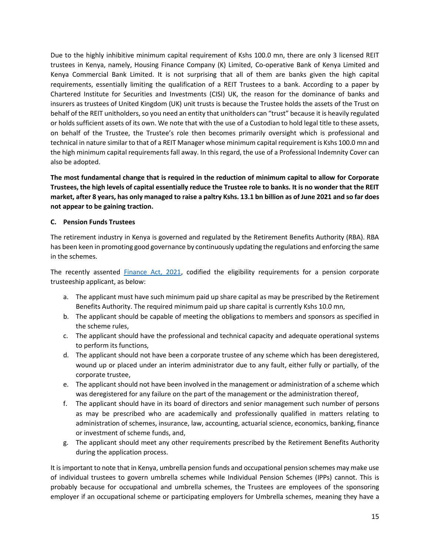Due to the highly inhibitive minimum capital requirement of Kshs 100.0 mn, there are only 3 licensed REIT trustees in Kenya, namely, Housing Finance Company (K) Limited, Co-operative Bank of Kenya Limited and Kenya Commercial Bank Limited. It is not surprising that all of them are banks given the high capital requirements, essentially limiting the qualification of a REIT Trustees to a bank. According to a paper by Chartered Institute for Securities and Investments (CISI) UK, the reason for the dominance of banks and insurers as trustees of United Kingdom (UK) unit trusts is because the Trustee holds the assets of the Trust on behalf of the REIT unitholders, so you need an entity that unitholders can "trust" because it is heavily regulated or holds sufficient assets of its own. We note that with the use of a Custodian to hold legal title to these assets, on behalf of the Trustee, the Trustee's role then becomes primarily oversight which is professional and technical in nature similar to that of a REIT Manager whose minimum capital requirement is Kshs 100.0 mn and the high minimum capital requirements fall away. In this regard, the use of a Professional Indemnity Cover can also be adopted.

**The most fundamental change that is required in the reduction of minimum capital to allow for Corporate Trustees, the high levels of capital essentially reduce the Trustee role to banks. It is no wonder that the REIT market, after 8 years, has only managed to raise a paltry Kshs. 13.1 bn billion as of June 2021 and so far does not appear to be gaining traction.** 

# **C. Pension Funds Trustees**

The retirement industry in Kenya is governed and regulated by the Retirement Benefits Authority (RBA). RBA has been keen in promoting good governance by continuously updating the regulations and enforcing the same in the schemes.

The recently assented [Finance Act, 2021,](http://kenyalaw.org/kl/fileadmin/pdfdownloads/Acts/2021/TheFinanceAct_No.8of2021.pdf) codified the eligibility requirements for a pension corporate trusteeship applicant, as below:

- a. The applicant must have such minimum paid up share capital as may be prescribed by the Retirement Benefits Authority. The required minimum paid up share capital is currently Kshs 10.0 mn,
- b. The applicant should be capable of meeting the obligations to members and sponsors as specified in the scheme rules,
- c. The applicant should have the professional and technical capacity and adequate operational systems to perform its functions,
- d. The applicant should not have been a corporate trustee of any scheme which has been deregistered, wound up or placed under an interim administrator due to any fault, either fully or partially, of the corporate trustee,
- e. The applicant should not have been involved in the management or administration of a scheme which was deregistered for any failure on the part of the management or the administration thereof,
- f. The applicant should have in its board of directors and senior management such number of persons as may be prescribed who are academically and professionally qualified in matters relating to administration of schemes, insurance, law, accounting, actuarial science, economics, banking, finance or investment of scheme funds, and,
- g. The applicant should meet any other requirements prescribed by the Retirement Benefits Authority during the application process.

It is important to note that in Kenya, umbrella pension funds and occupational pension schemes may make use of individual trustees to govern umbrella schemes while Individual Pension Schemes (IPPs) cannot. This is probably because for occupational and umbrella schemes, the Trustees are employees of the sponsoring employer if an occupational scheme or participating employers for Umbrella schemes, meaning they have a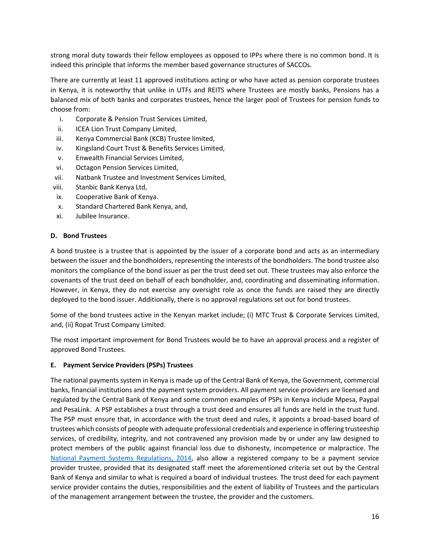strong moral duty towards their fellow employees as opposed to IPPs where there is no common bond. It is indeed this principle that informs the member based governance structures of SACCOs.

There are currently at least 11 approved institutions acting or who have acted as pension corporate trustees in Kenya, it is noteworthy that unlike in UTFs and REITS where Trustees are mostly banks, Pensions has a balanced mix of both banks and corporates trustees, hence the larger pool of Trustees for pension funds to choose from:

- i. Corporate & Pension Trust Services Limited,
- ii. ICEA Lion Trust Company Limited,
- iii. Kenya Commercial Bank (KCB) Trustee limited,
- iv. Kingsland Court Trust & Benefits Services Limited,
- v. Enwealth Financial Services Limited,
- vi. Octagon Pension Services Limited,
- vii. Natbank Trustee and Investment Services Limited,
- viii. Stanbic Bank Kenya Ltd,
- ix. Cooperative Bank of Kenya.
- x. Standard Chartered Bank Kenya, and,
- xi. Jubilee Insurance.

# **D. Bond Trustees**

A bond trustee is a trustee that is appointed by the issuer of a corporate bond and acts as an intermediary between the issuer and the bondholders, representing the interests of the bondholders. The bond trustee also monitors the compliance of the bond issuer as per the trust deed set out. These trustees may also enforce the covenants of the trust deed on behalf of each bondholder, and, coordinating and disseminating information. However, in Kenya, they do not exercise any oversight role as once the funds are raised they are directly deployed to the bond issuer. Additionally, there is no approval regulations set out for bond trustees.

Some of the bond trustees active in the Kenyan market include; (i) MTC Trust & Corporate Services Limited, and, (ii) Ropat Trust Company Limited.

The most important improvement for Bond Trustees would be to have an approval process and a register of approved Bond Trustees.

# **E. Payment Service Providers (PSPs) Trustees**

The national payments system in Kenya is made up of the Central Bank of Kenya, the Government, commercial banks, financial institutions and the payment system providers. All payment service providers are licensed and regulated by the Central Bank of Kenya and some common examples of PSPs in Kenya include Mpesa, Paypal and PesaLink. A PSP establishes a trust through a trust deed and ensures all funds are held in the trust fund. The PSP must ensure that, in accordance with the trust deed and rules, it appoints a broad-based board of trustees which consists of people with adequate professional credentials and experience in offering trusteeship services, of credibility, integrity, and not contravened any provision made by or under any law designed to protect members of the public against financial loss due to dishonesty, incompetence or malpractice. The [National Payment Systems Regulations, 2014,](https://www.centralbank.go.ke/images/docs/legislation/NPSRegulations2014.pdf) also allow a registered company to be a payment service provider trustee, provided that its designated staff meet the aforementioned criteria set out by the Central Bank of Kenya and similar to what is required a board of individual trustees. The trust deed for each payment service provider contains the duties, responsibilities and the extent of liability of Trustees and the particulars of the management arrangement between the trustee, the provider and the customers.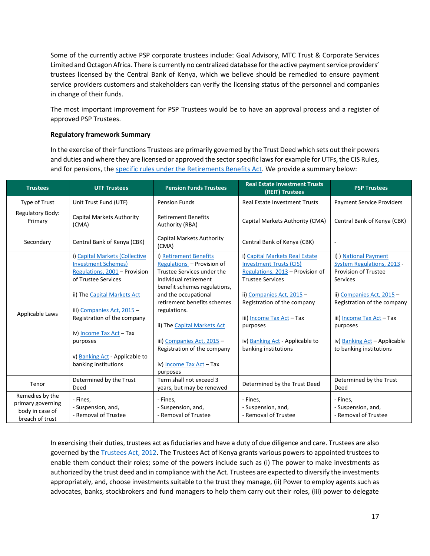Some of the currently active PSP corporate trustees include: Goal Advisory, MTC Trust & Corporate Services Limited and Octagon Africa. There is currently no centralized database for the active payment service providers' trustees licensed by the Central Bank of Kenya, which we believe should be remedied to ensure payment service providers customers and stakeholders can verify the licensing status of the personnel and companies in change of their funds.

The most important improvement for PSP Trustees would be to have an approval process and a register of approved PSP Trustees.

## **Regulatory framework Summary**

In the exercise of their functions Trustees are primarily governed by the Trust Deed which sets out their powers and duties and where they are licensed or approved the sector specific laws for example for UTFs, the CIS Rules, and for pensions, the [specific rules under the Retirements Benefits Act.](https://www.rba.go.ke/download/regulations/) We provide a summary below:

| <b>Trustees</b>                                                            | <b>UTF Trustees</b>                                                                                                                                                                                                                                                                                                | <b>Pension Funds Trustees</b>                                                                                                                                                                                                                                                                                                                          | <b>Real Estate Investment Trusts</b><br>(REIT) Trustees                                                                                                                                                                                                                                         | <b>PSP Trustees</b>                                                                                                                                                                                                                                                   |
|----------------------------------------------------------------------------|--------------------------------------------------------------------------------------------------------------------------------------------------------------------------------------------------------------------------------------------------------------------------------------------------------------------|--------------------------------------------------------------------------------------------------------------------------------------------------------------------------------------------------------------------------------------------------------------------------------------------------------------------------------------------------------|-------------------------------------------------------------------------------------------------------------------------------------------------------------------------------------------------------------------------------------------------------------------------------------------------|-----------------------------------------------------------------------------------------------------------------------------------------------------------------------------------------------------------------------------------------------------------------------|
| Type of Trust                                                              | Unit Trust Fund (UTF)                                                                                                                                                                                                                                                                                              | <b>Pension Funds</b>                                                                                                                                                                                                                                                                                                                                   | <b>Real Estate Investment Trusts</b>                                                                                                                                                                                                                                                            | <b>Payment Service Providers</b>                                                                                                                                                                                                                                      |
| Regulatory Body:<br>Primary                                                | Capital Markets Authority<br>(CMA)                                                                                                                                                                                                                                                                                 | <b>Retirement Benefits</b><br>Authority (RBA)                                                                                                                                                                                                                                                                                                          | Capital Markets Authority (CMA)                                                                                                                                                                                                                                                                 | Central Bank of Kenya (CBK)                                                                                                                                                                                                                                           |
| Secondary                                                                  | Central Bank of Kenya (CBK)                                                                                                                                                                                                                                                                                        | Capital Markets Authority<br>(CMA)                                                                                                                                                                                                                                                                                                                     | Central Bank of Kenya (CBK)                                                                                                                                                                                                                                                                     |                                                                                                                                                                                                                                                                       |
| Applicable Laws                                                            | i) Capital Markets (Collective<br><b>Investment Schemes)</b><br>Regulations, 2001 - Provision<br>of Trustee Services<br>ii) The Capital Markets Act<br>iii) Companies Act, 2015 -<br>Registration of the company<br>iv) Income Tax Act - Tax<br>purposes<br>v) Banking Act - Applicable to<br>banking institutions | i) Retirement Benefits<br>Regulations - Provision of<br>Trustee Services under the<br>Individual retirement<br>benefit schemes regulations,<br>and the occupational<br>retirement benefits schemes<br>regulations.<br>ii) The Capital Markets Act<br>iii) Companies Act, 2015 -<br>Registration of the company<br>iv) Income Tax Act - Tax<br>purposes | i) Capital Markets Real Estate<br><b>Investment Trusts (CIS)</b><br>Regulations, 2013 - Provision of<br><b>Trustee Services</b><br>ii) Companies Act, 2015 -<br>Registration of the company<br>iii) Income Tax Act - Tax<br>purposes<br>iv) Banking Act - Applicable to<br>banking institutions | i) ) National Payment<br><b>System Regulations, 2013 -</b><br><b>Provision of Trustee</b><br>Services<br>ii) Companies Act, 2015 -<br>Registration of the company<br>iii) Income Tax Act - Tax<br>purposes<br>iv) Banking Act - Applicable<br>to banking institutions |
| Tenor                                                                      | Determined by the Trust<br>Deed                                                                                                                                                                                                                                                                                    | Term shall not exceed 3<br>years, but may be renewed                                                                                                                                                                                                                                                                                                   | Determined by the Trust Deed                                                                                                                                                                                                                                                                    | Determined by the Trust<br>Deed                                                                                                                                                                                                                                       |
| Remedies by the<br>primary governing<br>body in case of<br>breach of trust | - Fines,<br>- Suspension, and,<br>- Removal of Trustee                                                                                                                                                                                                                                                             | - Fines,<br>- Suspension, and,<br>- Removal of Trustee                                                                                                                                                                                                                                                                                                 | - Fines,<br>- Suspension, and,<br>- Removal of Trustee                                                                                                                                                                                                                                          | - Fines,<br>- Suspension, and,<br>- Removal of Trustee                                                                                                                                                                                                                |

In exercising their duties, trustees act as fiduciaries and have a duty of due diligence and care. Trustees are also governed by the [Trustees Act, 2012.](http://kenyalaw.org:8181/exist/rest/db/kenyalex/Kenya/Legislation/English/Acts%20and%20Regulations/T/Trustee%20Act%20Cap.%20167%20-%20No.%2028%20of%201929/docs/TrusteeAct28of1929.pdf) The Trustees Act of Kenya grants various powers to appointed trustees to enable them conduct their roles; some of the powers include such as (i) The power to make investments as authorized by the trust deed and in compliance with the Act. Trustees are expected to diversify the investments appropriately, and, choose investments suitable to the trust they manage, (ii) Power to employ agents such as advocates, banks, stockbrokers and fund managers to help them carry out their roles, (iii) power to delegate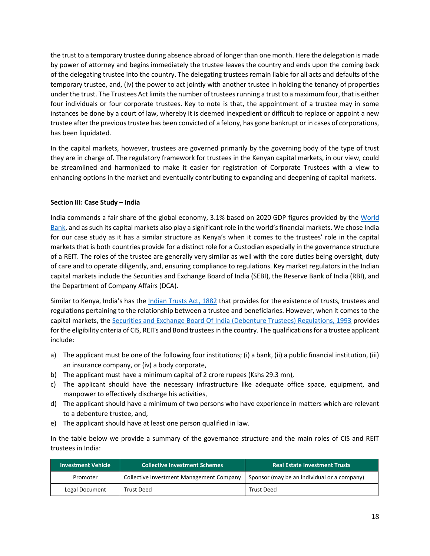the trust to a temporary trustee during absence abroad of longer than one month. Here the delegation is made by power of attorney and begins immediately the trustee leaves the country and ends upon the coming back of the delegating trustee into the country. The delegating trustees remain liable for all acts and defaults of the temporary trustee, and, (iv) the power to act jointly with another trustee in holding the tenancy of properties under the trust. The Trustees Act limits the number of trustees running a trust to a maximum four, that is either four individuals or four corporate trustees. Key to note is that, the appointment of a trustee may in some instances be done by a court of law, whereby it is deemed inexpedient or difficult to replace or appoint a new trustee after the previous trustee has been convicted of a felony, has gone bankrupt or in cases of corporations, has been liquidated.

In the capital markets, however, trustees are governed primarily by the governing body of the type of trust they are in charge of. The regulatory framework for trustees in the Kenyan capital markets, in our view, could be streamlined and harmonized to make it easier for registration of Corporate Trustees with a view to enhancing options in the market and eventually contributing to expanding and deepening of capital markets.

# **Section III: Case Study – India**

India commands a fair share of the global economy, 3.1% based on 2020 GDP figures provided by the [World](https://data.worldbank.org/indicator/NY.GDP.MKTP.CD?locations=IN-1W)  [Bank](https://data.worldbank.org/indicator/NY.GDP.MKTP.CD?locations=IN-1W), and as such its capital markets also play a significant role in the world's financial markets. We chose India for our case study as it has a similar structure as Kenya's when it comes to the trustees' role in the capital markets that is both countries provide for a distinct role for a Custodian especially in the governance structure of a REIT. The roles of the trustee are generally very similar as well with the core duties being oversight, duty of care and to operate diligently, and, ensuring compliance to regulations. Key market regulators in the Indian capital markets include the Securities and Exchange Board of India (SEBI), the Reserve Bank of India (RBI), and the Department of Company Affairs (DCA).

Similar to Kenya, India's has the [Indian Trusts Act, 1882](https://legislative.gov.in/sites/default/files/A1882-02.pdf) that provides for the existence of trusts, trustees and regulations pertaining to the relationship between a trustee and beneficiaries. However, when it comes to the capital markets, the [Securities and Exchange Board Of India \(Debenture Trustees\) Regulations, 1993](https://www.sebi.gov.in/legal/regulations/dec-1993/securities-and-exchange-board-of-india-debenture-trustees-regulations-1993-last-amended-on-may-05-2021-_34646.html) provides for the eligibility criteria of CIS, REITs and Bond trustees in the country. The qualifications for a trustee applicant include:

- a) The applicant must be one of the following four institutions; (i) a bank, (ii) a public financial institution, (iii) an insurance company, or (iv) a body corporate,
- b) The applicant must have a minimum capital of 2 crore rupees (Kshs 29.3 mn),
- c) The applicant should have the necessary infrastructure like adequate office space, equipment, and manpower to effectively discharge his activities,
- d) The applicant should have a minimum of two persons who have experience in matters which are relevant to a debenture trustee, and,
- e) The applicant should have at least one person qualified in law.

In the table below we provide a summary of the governance structure and the main roles of CIS and REIT trustees in India:

| l Investment Vehicle <b>\</b> | <b>Collective Investment Schemes</b>            | <b>Real Estate Investment Trusts</b>        |
|-------------------------------|-------------------------------------------------|---------------------------------------------|
| Promoter                      | <b>Collective Investment Management Company</b> | Sponsor (may be an individual or a company) |
| Legal Document                | Trust Deed                                      | <b>Trust Deed</b>                           |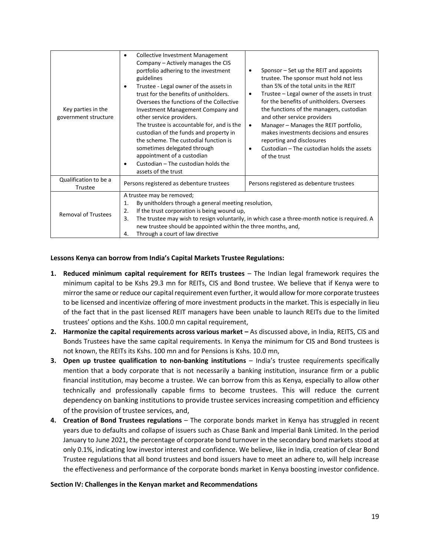| Key parties in the<br>government structure | Collective Investment Management<br>٠<br>Company – Actively manages the CIS<br>portfolio adhering to the investment<br>guidelines<br>Trustee - Legal owner of the assets in<br>$\bullet$<br>trust for the benefits of unitholders.<br>Oversees the functions of the Collective<br>Investment Management Company and<br>other service providers.<br>The trustee is accountable for, and is the<br>custodian of the funds and property in<br>the scheme. The custodial function is<br>sometimes delegated through<br>appointment of a custodian<br>Custodian - The custodian holds the<br>٠<br>assets of the trust | Sponsor – Set up the REIT and appoints<br>$\bullet$<br>trustee. The sponsor must hold not less<br>than 5% of the total units in the REIT<br>Trustee – Legal owner of the assets in trust<br>$\bullet$<br>for the benefits of unitholders. Oversees<br>the functions of the managers, custodian<br>and other service providers<br>Manager - Manages the REIT portfolio,<br>$\bullet$<br>makes investments decisions and ensures<br>reporting and disclosures<br>Custodian – The custodian holds the assets<br>$\bullet$<br>of the trust |  |
|--------------------------------------------|------------------------------------------------------------------------------------------------------------------------------------------------------------------------------------------------------------------------------------------------------------------------------------------------------------------------------------------------------------------------------------------------------------------------------------------------------------------------------------------------------------------------------------------------------------------------------------------------------------------|----------------------------------------------------------------------------------------------------------------------------------------------------------------------------------------------------------------------------------------------------------------------------------------------------------------------------------------------------------------------------------------------------------------------------------------------------------------------------------------------------------------------------------------|--|
| Qualification to be a<br>Trustee           | Persons registered as debenture trustees                                                                                                                                                                                                                                                                                                                                                                                                                                                                                                                                                                         | Persons registered as debenture trustees                                                                                                                                                                                                                                                                                                                                                                                                                                                                                               |  |
| <b>Removal of Trustees</b>                 | A trustee may be removed;<br>By unitholders through a general meeting resolution,<br>1.<br>If the trust corporation is being wound up,<br>2.<br>The trustee may wish to resign voluntarily, in which case a three-month notice is required. A<br>3.<br>new trustee should be appointed within the three months, and,<br>Through a court of law directive<br>4.                                                                                                                                                                                                                                                   |                                                                                                                                                                                                                                                                                                                                                                                                                                                                                                                                        |  |

## **Lessons Kenya can borrow from India's Capital Markets Trustee Regulations:**

- 1. Reduced minimum capital requirement for REITs trustees The Indian legal framework requires the minimum capital to be Kshs 29.3 mn for REITs, CIS and Bond trustee. We believe that if Kenya were to mirror the same or reduce our capital requirement even further, it would allow for more corporate trustees to be licensed and incentivize offering of more investment products in the market. This is especially in lieu of the fact that in the past licensed REIT managers have been unable to launch REITs due to the limited trustees' options and the Kshs. 100.0 mn capital requirement,
- **2.** Harmonize the capital requirements across various market As discussed above, in India, REITS, CIS and Bonds Trustees have the same capital requirements. In Kenya the minimum for CIS and Bond trustees is not known, the REITs its Kshs. 100 mn and for Pensions is Kshs. 10.0 mn,
- **3. Open up trustee qualification to non-banking institutions** India's trustee requirements specifically mention that a body corporate that is not necessarily a banking institution, insurance firm or a public financial institution, may become a trustee. We can borrow from this as Kenya, especially to allow other technically and professionally capable firms to become trustees. This will reduce the current dependency on banking institutions to provide trustee services increasing competition and efficiency of the provision of trustee services, and,
- **4. Creation of Bond Trustees regulations** The corporate bonds market in Kenya has struggled in recent years due to defaults and collapse of issuers such as Chase Bank and Imperial Bank Limited. In the period January to June 2021, the percentage of corporate bond turnover in the secondary bond markets stood at only 0.1%, indicating low investor interest and confidence. We believe, like in India, creation of clear Bond Trustee regulations that all bond trustees and bond issuers have to meet an adhere to, will help increase the effectiveness and performance of the corporate bonds market in Kenya boosting investor confidence.

## **Section IV: Challenges in the Kenyan market and Recommendations**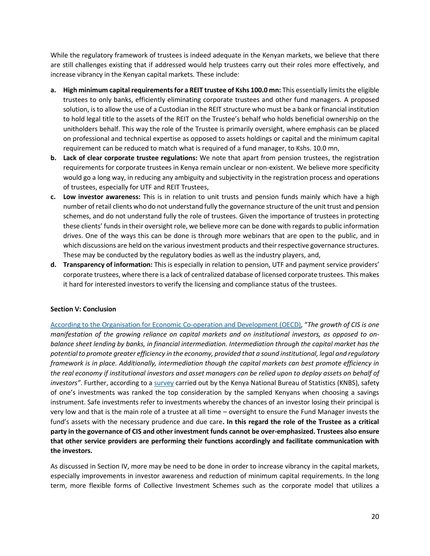While the regulatory framework of trustees is indeed adequate in the Kenyan markets, we believe that there are still challenges existing that if addressed would help trustees carry out their roles more effectively, and increase vibrancy in the Kenyan capital markets. These include:

- **a. High minimum capital requirements for a REIT trustee of Kshs 100.0 mn:** This essentially limits the eligible trustees to only banks, efficiently eliminating corporate trustees and other fund managers. A proposed solution, is to allow the use of a Custodian in the REIT structure who must be a bank or financial institution to hold legal title to the assets of the REIT on the Trustee's behalf who holds beneficial ownership on the unitholders behalf. This way the role of the Trustee is primarily oversight, where emphasis can be placed on professional and technical expertise as opposed to assets holdings or capital and the minimum capital requirement can be reduced to match what is required of a fund manager, to Kshs. 10.0 mn,
- **b. Lack of clear corporate trustee regulations:** We note that apart from pension trustees, the registration requirements for corporate trustees in Kenya remain unclear or non-existent. We believe more specificity would go a long way, in reducing any ambiguity and subjectivity in the registration process and operations of trustees, especially for UTF and REIT Trustees,
- **c. Low investor awareness:** This is in relation to unit trusts and pension funds mainly which have a high number of retail clients who do not understand fully the governance structure of the unit trust and pension schemes, and do not understand fully the role of trustees. Given the importance of trustees in protecting these clients' funds in their oversight role, we believe more can be done with regards to public information drives. One of the ways this can be done is through more webinars that are open to the public, and in which discussions are held on the various investment products and their respective governance structures. These may be conducted by the regulatory bodies as well as the industry players, and,
- **d. Transparency of information:** This is especially in relation to pension, UTF and payment service providers' corporate trustees, where there is a lack of centralized database of licensed corporate trustees. This makes it hard for interested investors to verify the licensing and compliance status of the trustees.

# **Section V: Conclusion**

[According to the Organisation for Economic Co-operation and Development \(OECD\),](https://www.oecd.org/finance/financial-markets/33621909.pdf) "*The growth of CIS is one manifestation of the growing reliance on capital markets and on institutional investors, as opposed to onbalance sheet lending by banks, in financial intermediation. Intermediation through the capital market has the potential to promote greater efficiency in the economy, provided that a sound institutional, legal and regulatory framework is in place. Additionally, intermediation though the capital markets can best promote efficiency in the real economy if institutional investors and asset managers can be relied upon to deploy assets on behalf of investors"*. Further, according to [a survey](https://web.archive.org/web/20210208090117/https:/www.centralbank.go.ke/uploads/financial_inclusion/2050404730_FinAccess%202019%20Household%20Survey-%20Jun.%2014%20Version.pdf) carried out by the Kenya National Bureau of Statistics (KNBS), safety of one's investments was ranked the top consideration by the sampled Kenyans when choosing a savings instrument. Safe investments refer to investments whereby the chances of an investor losing their principal is very low and that is the main role of a trustee at all time – oversight to ensure the Fund Manager invests the fund's assets with the necessary prudence and due care**. In this regard the role of the Trustee as a critical party in the governance of CIS and other investment funds cannot be over-emphasized. Trustees also ensure that other service providers are performing their functions accordingly and facilitate communication with the investors.**

As discussed in Section IV, more may be need to be done in order to increase vibrancy in the capital markets, especially improvements in investor awareness and reduction of minimum capital requirements. In the long term, more flexible forms of Collective Investment Schemes such as the corporate model that utilizes a